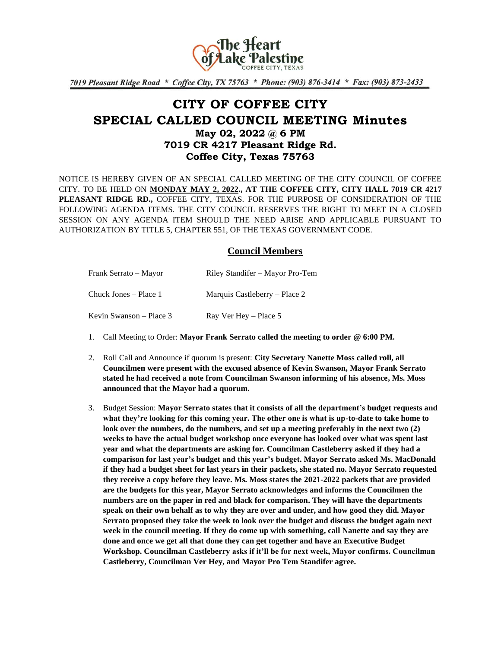

7019 Pleasant Ridge Road \* Coffee City, TX 75763 \* Phone: (903) 876-3414 \* Fax: (903) 873-2433

# **CITY OF COFFEE CITY SPECIAL CALLED COUNCIL MEETING Minutes May 02, 2022 @ 6 PM 7019 CR 4217 Pleasant Ridge Rd. Coffee City, Texas 75763**

NOTICE IS HEREBY GIVEN OF AN SPECIAL CALLED MEETING OF THE CITY COUNCIL OF COFFEE CITY. TO BE HELD ON **MONDAY MAY 2, 2022., AT THE COFFEE CITY, CITY HALL 7019 CR 4217 PLEASANT RIDGE RD.,** COFFEE CITY, TEXAS. FOR THE PURPOSE OF CONSIDERATION OF THE FOLLOWING AGENDA ITEMS. THE CITY COUNCIL RESERVES THE RIGHT TO MEET IN A CLOSED SESSION ON ANY AGENDA ITEM SHOULD THE NEED ARISE AND APPLICABLE PURSUANT TO AUTHORIZATION BY TITLE 5, CHAPTER 551, OF THE TEXAS GOVERNMENT CODE.

## **Council Members**

| Frank Serrato – Mayor   | Riley Standifer – Mayor Pro-Tem |
|-------------------------|---------------------------------|
| Chuck Jones – Place 1   | Marquis Castleberry – Place 2   |
| Kevin Swanson – Place 3 | Ray Ver Hey – Place 5           |

- 1. Call Meeting to Order: **Mayor Frank Serrato called the meeting to order @ 6:00 PM.**
- 2. Roll Call and Announce if quorum is present: **City Secretary Nanette Moss called roll, all Councilmen were present with the excused absence of Kevin Swanson, Mayor Frank Serrato stated he had received a note from Councilman Swanson informing of his absence, Ms. Moss announced that the Mayor had a quorum.**
- 3. Budget Session: **Mayor Serrato states that it consists of all the department's budget requests and what they're looking for this coming year. The other one is what is up-to-date to take home to look over the numbers, do the numbers, and set up a meeting preferably in the next two (2) weeks to have the actual budget workshop once everyone has looked over what was spent last year and what the departments are asking for. Councilman Castleberry asked if they had a comparison for last year's budget and this year's budget. Mayor Serrato asked Ms. MacDonald if they had a budget sheet for last years in their packets, she stated no. Mayor Serrato requested they receive a copy before they leave. Ms. Moss states the 2021-2022 packets that are provided are the budgets for this year, Mayor Serrato acknowledges and informs the Councilmen the numbers are on the paper in red and black for comparison. They will have the departments speak on their own behalf as to why they are over and under, and how good they did. Mayor Serrato proposed they take the week to look over the budget and discuss the budget again next week in the council meeting. If they do come up with something, call Nanette and say they are done and once we get all that done they can get together and have an Executive Budget Workshop. Councilman Castleberry asks if it'll be for next week, Mayor confirms. Councilman Castleberry, Councilman Ver Hey, and Mayor Pro Tem Standifer agree.**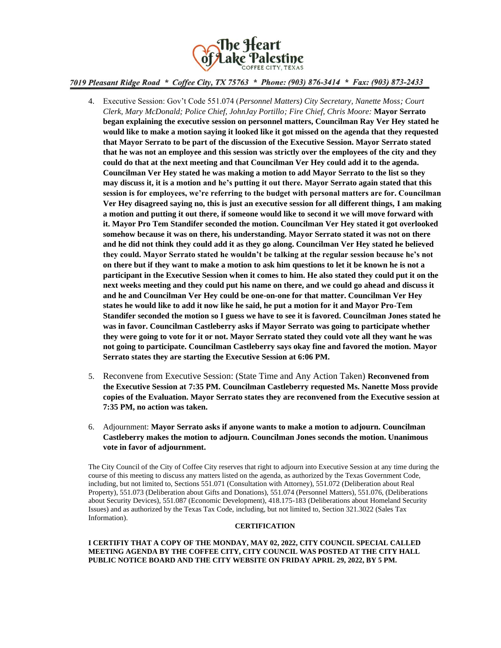

### 7019 Pleasant Ridge Road \* Coffee City, TX 75763 \* Phone: (903) 876-3414 \* Fax: (903) 873-2433

- 4. Executive Session: Gov't Code 551.074 (*Personnel Matters) City Secretary, Nanette Moss; Court Clerk, Mary McDonald; Police Chief, JohnJay Portillo; Fire Chief, Chris Moore:* **Mayor Serrato began explaining the executive session on personnel matters, Councilman Ray Ver Hey stated he would like to make a motion saying it looked like it got missed on the agenda that they requested that Mayor Serrato to be part of the discussion of the Executive Session. Mayor Serrato stated that he was not an employee and this session was strictly over the employees of the city and they could do that at the next meeting and that Councilman Ver Hey could add it to the agenda. Councilman Ver Hey stated he was making a motion to add Mayor Serrato to the list so they may discuss it, it is a motion and he's putting it out there. Mayor Serrato again stated that this session is for employees, we're referring to the budget with personal matters are for. Councilman Ver Hey disagreed saying no, this is just an executive session for all different things, I am making a motion and putting it out there, if someone would like to second it we will move forward with it. Mayor Pro Tem Standifer seconded the motion. Councilman Ver Hey stated it got overlooked somehow because it was on there, his understanding. Mayor Serrato stated it was not on there and he did not think they could add it as they go along. Councilman Ver Hey stated he believed they could. Mayor Serrato stated he wouldn't be talking at the regular session because he's not on there but if they want to make a motion to ask him questions to let it be known he is not a participant in the Executive Session when it comes to him. He also stated they could put it on the next weeks meeting and they could put his name on there, and we could go ahead and discuss it and he and Councilman Ver Hey could be one-on-one for that matter. Councilman Ver Hey states he would like to add it now like he said, he put a motion for it and Mayor Pro-Tem Standifer seconded the motion so I guess we have to see it is favored. Councilman Jones stated he was in favor. Councilman Castleberry asks if Mayor Serrato was going to participate whether they were going to vote for it or not. Mayor Serrato stated they could vote all they want he was not going to participate. Councilman Castleberry says okay fine and favored the motion. Mayor Serrato states they are starting the Executive Session at 6:06 PM.**
- 5. Reconvene from Executive Session: (State Time and Any Action Taken) **Reconvened from the Executive Session at 7:35 PM. Councilman Castleberry requested Ms. Nanette Moss provide copies of the Evaluation. Mayor Serrato states they are reconvened from the Executive session at 7:35 PM, no action was taken.**
- 6. Adjournment: **Mayor Serrato asks if anyone wants to make a motion to adjourn. Councilman Castleberry makes the motion to adjourn. Councilman Jones seconds the motion. Unanimous vote in favor of adjournment.**

The City Council of the City of Coffee City reserves that right to adjourn into Executive Session at any time during the course of this meeting to discuss any matters listed on the agenda, as authorized by the Texas Government Code, including, but not limited to, Sections 551.071 (Consultation with Attorney), 551.072 (Deliberation about Real Property), 551.073 (Deliberation about Gifts and Donations), 551.074 (Personnel Matters), 551.076, (Deliberations about Security Devices), 551.087 (Economic Development), 418.175-183 (Deliberations about Homeland Security Issues) and as authorized by the Texas Tax Code, including, but not limited to, Section 321.3022 (Sales Tax Information).

#### **CERTIFICATION**

#### **I CERTIFIY THAT A COPY OF THE MONDAY, MAY 02, 2022, CITY COUNCIL SPECIAL CALLED MEETING AGENDA BY THE COFFEE CITY, CITY COUNCIL WAS POSTED AT THE CITY HALL PUBLIC NOTICE BOARD AND THE CITY WEBSITE ON FRIDAY APRIL 29, 2022, BY 5 PM.**